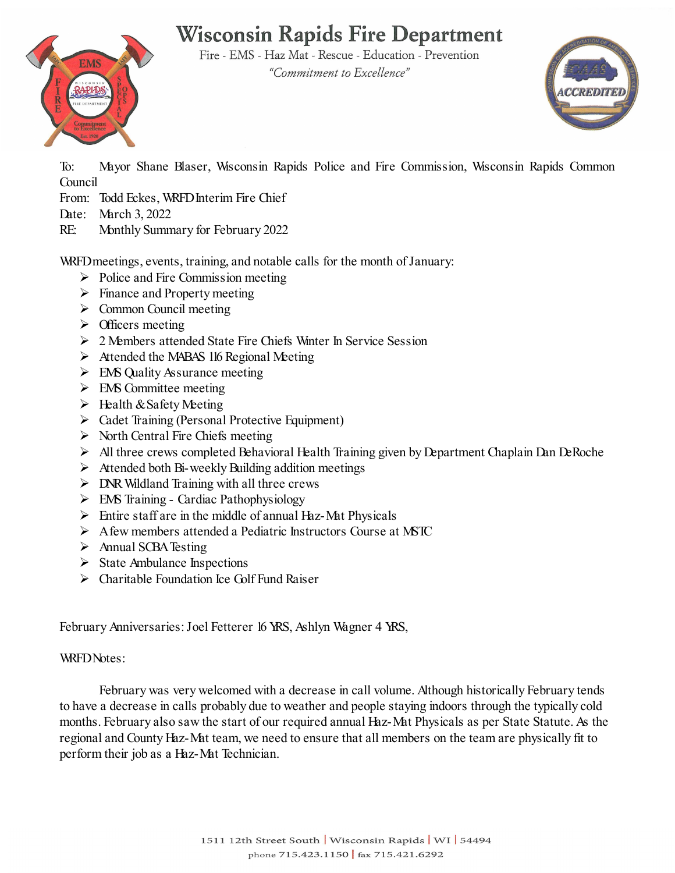### **Wisconsin Rapids Fire Department** Fire - EMS - Haz Mat - Rescue - Education - Prevention

"Commitment to Excellence"

**EMS** 



To: Mayor Shane Blaser, Wisconsin Rapids Police and Fire Commission, Wisconsin Rapids Common Council

From: Todd Eckes, WRFD Interim Fire Chief

- Date: March 3, 2022
- RE: Monthly Summary for February 2022

WRFD meetings, events, training, and notable calls for the month of January:

- $\triangleright$  Police and Fire Commission meeting
- $\triangleright$  Finance and Property meeting
- $\triangleright$  Common Council meeting
- $\triangleright$  Officers meeting
- 2 Members attended State Fire Chiefs Winter In Service Session
- $\triangleright$  Attended the MABAS 116 Regional Meeting
- $\triangleright$  EMS Quality Assurance meeting
- $\triangleright$  EMS Committee meeting
- $\triangleright$  Health & Safety Meeting
- Cadet Training (Personal Protective Equipment)
- $\triangleright$  North Central Fire Chiefs meeting
- All three crews completed Behavioral Health Training given by Department Chaplain Dan DeRoche
- $\triangleright$  Attended both Bi-weekly Building addition meetings
- $\triangleright$  DNR Wildland Training with all three crews
- $\triangleright$  EMS Training Cardiac Pathophysiology
- $\triangleright$  Entire staff are in the middle of annual Haz-Mat Physicals
- $\triangleright$  A few members attended a Pediatric Instructors Course at MSTC
- > Annual SCBA Testing
- $\triangleright$  State Ambulance Inspections
- $\triangleright$  Charitable Foundation Ice Golf Fund Raiser

February Anniversaries:Joel Fetterer 16 YRS, Ashlyn Wagner 4 YRS,

#### WRFD Notes:

February was very welcomed with a decrease in call volume. Although historically February tends to have a decrease in calls probably due to weather and people staying indoors through the typically cold months. February also saw the start of our required annual Haz-Mat Physicals as per State Statute. As the regional and County Haz-Mat team, we need to ensure that all members on the team are physically fit to perform their job as a Haz-Mat Technician.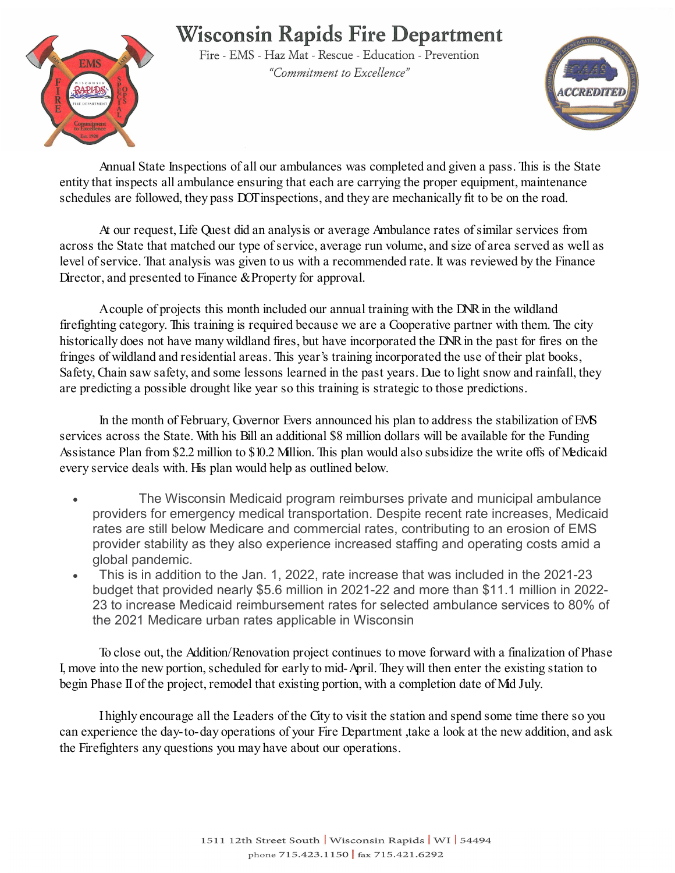# **Wisconsin Rapids Fire Department**



Fire - EMS - Haz Mat - Rescue - Education - Prevention "Commitment to Excellence"



Annual State Inspections of all our ambulances was completed and given a pass. This is the State entity that inspects all ambulance ensuring that each are carrying the proper equipment, maintenance schedules are followed, they pass DOT inspections, and they are mechanically fit to be on the road.

At our request, Life Quest did an analysis or average Ambulance rates of similar services from across the State that matched our type of service, average run volume, and size of area served as well as level of service. That analysis was given to us with a recommended rate. It was reviewed by the Finance Director, and presented to Finance & Property for approval.

Acouple of projects this month included our annual training with the DNR in the wildland firefighting category. This training is required because we are a Cooperative partner with them. The city historically does not have many wildland fires, but have incorporated the DNR in the past for fires on the fringes of wildland and residential areas. This year's training incorporated the use of their plat books, Safety, Chain saw safety, and some lessons learned in the past years. Due to light snow and rainfall, they are predicting a possible drought like year so this training is strategic to those predictions.

In the month of February, Governor Evers announced his plan to address the stabilization of EMS services across the State. With his Bill an additional \$8 million dollars will be available for the Funding Assistance Plan from \$2.2 million to \$10.2 Million. This plan would also subsidize the write offs of Medicaid every service deals with. His plan would help as outlined below.

- The Wisconsin Medicaid program reimburses private and municipal ambulance providers for emergency medical transportation. Despite recent rate increases, Medicaid rates are still below Medicare and commercial rates, contributing to an erosion of EMS provider stability as they also experience increased staffing and operating costs amid a global pandemic.
- This is in addition to the Jan. 1, 2022, rate increase that was included in the 2021-23 budget that provided nearly \$5.6 million in 2021-22 and more than \$11.1 million in 2022- 23 to increase Medicaid reimbursement rates for selected ambulance services to 80% of the 2021 Medicare urban rates applicable in Wisconsin

To close out, the Addition/Renovation project continues to move forward with a finalization of Phase I, move into the new portion, scheduled for early to mid-April. They will then enter the existing station to begin Phase II of the project, remodel that existing portion, with a completion date of Md July.

I highly encourage all the Leaders of the City to visit the station and spend some time there so you can experience the day-to-day operations of your Fire Department ,take a look at the new addition, and ask the Firefighters any questions you may have about our operations.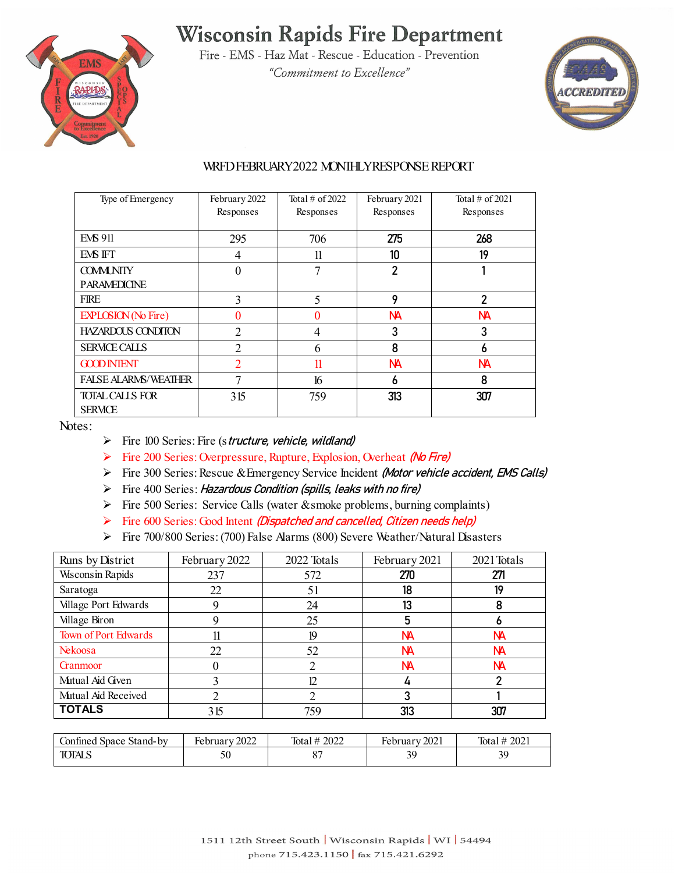## **Wisconsin Rapids Fire Department**



Fire - EMS - Haz Mat - Rescue - Education - Prevention "Commitment to Excellence"



#### WRFD FEBRUARY2022 MONTHLY RESPONSE REPORT

| Type of Emergency           | February 2022<br>Responses | Total $\#$ of 2022<br>Responses | February 2021<br>Responses | Total $\#$ of 2021<br>Responses |
|-----------------------------|----------------------------|---------------------------------|----------------------------|---------------------------------|
|                             |                            |                                 |                            |                                 |
| <b>EMS 911</b>              | 295                        | 706                             | 275                        | 268                             |
| EMS IFT                     | 4                          | 11                              | 10                         | 19                              |
| <b>COMMUNITY</b>            | 0                          | 7                               | $\overline{2}$             |                                 |
| <b>PARAMEDICINE</b>         |                            |                                 |                            |                                 |
| <b>FIRE</b>                 | 3                          | 5                               | 9                          | 2                               |
| <b>EXPLOSION</b> (No Fire)  | 0                          | 0                               | NА                         | NА                              |
| <b>HAZARDOUS CONDITON</b>   | $\overline{2}$             | 4                               | 3                          | 3                               |
| <b>SFRMCE CALLS</b>         | $\overline{2}$             | 6                               | 8                          | 6                               |
| <b>GOOD INTENT</b>          | $\overline{2}$             | 11                              | NА                         | <b>NA</b>                       |
| <b>FALSE ALARMS/WEATHER</b> | 7                          | 16                              | 6                          | 8                               |
| <b>TOTAL CALLS FOR</b>      | 315                        | 759                             | 313                        | 307                             |
| <b>SFRVICE</b>              |                            |                                 |                            |                                 |

Notes:

- $\triangleright$  Fire 100 Series: Fire (structure, vehicle, wildland)
- Fire 200 Series: Overpressure, Rupture, Explosion, Overheat (No Fire)
- Fire 300 Series: Rescue & Emergency Service Incident (Motor vehicle accident, EMS Calls)
- $\triangleright$  Fire 400 Series: Hazardous Condition (spills, leaks with no fire)
- Fire 500 Series: Service Calls (water & smoke problems, burning complaints)
- Fire  $600$  Series: Good Intent (Dispatched and cancelled, Citizen needs help)
- Fire 700/800 Series: (700) False Alarms (800) Severe Weather/Natural Disasters

| Runs by District            | February 2022 | 2022 Totals | February 2021 | 2021 Totals |
|-----------------------------|---------------|-------------|---------------|-------------|
| <b>Wisconsin Rapids</b>     | 237           | 572         | 270           | 271         |
| Saratoga                    | 22            | 51          | 18            | 19          |
| Village Port Edwards        |               | 24          | 13            | 8           |
| Village Biron               |               | 25          | 5             |             |
| <b>Town of Port Edwards</b> |               | 19          | <b>NA</b>     | NА          |
| Nekoosa                     | 22            | 52          | NА            | NА          |
| <b>Grammoor</b>             |               |             | NА            | NА          |
| Mutual Aid Given            |               | 12          |               |             |
| Mutual Aid Received         |               |             |               |             |
| <b>TOTALS</b>               | 315           | 759         | 313           | 307         |

| Stand-by<br>onfined :<br>Space | റററ<br>$\blacksquare$<br>Februarv<br>ZUZZ | 2022<br>Total<br>茸 | 2021<br>- 1<br>rebruarv | 202<br>Tota. |
|--------------------------------|-------------------------------------------|--------------------|-------------------------|--------------|
| <b>TOTALS</b>                  | υU                                        |                    | ر ر                     | 20<br>رب     |